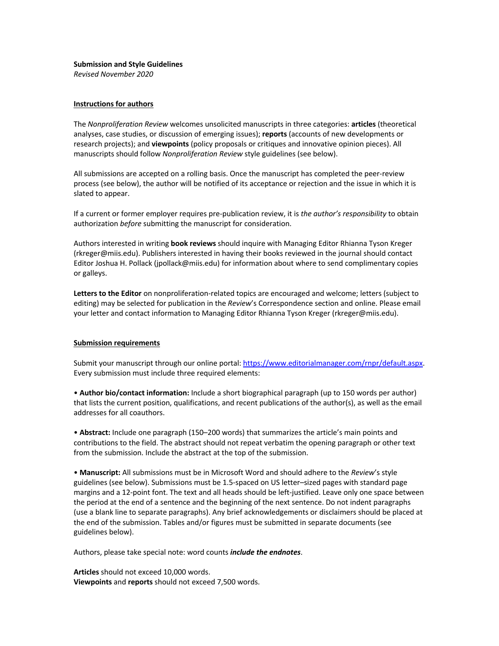## **Submission and Style Guidelines**

*Revised November 2020*

## **Instructions for authors**

The *Nonproliferation Review* welcomes unsolicited manuscripts in three categories: **articles** (theoretical analyses, case studies, or discussion of emerging issues); **reports** (accounts of new developments or research projects); and **viewpoints** (policy proposals or critiques and innovative opinion pieces). All manuscripts should follow *Nonproliferation Review* style guidelines (see below).

All submissions are accepted on a rolling basis. Once the manuscript has completed the peer-review process (see below), the author will be notified of its acceptance or rejection and the issue in which it is slated to appear.

If a current or former employer requires pre-publication review, it is *the author's responsibility* to obtain authorization *before* submitting the manuscript for consideration.

Authors interested in writing **book reviews** should inquire with Managing Editor Rhianna Tyson Kreger (rkreger@miis.edu). Publishers interested in having their books reviewed in the journal should contact Editor Joshua H. Pollack (jpollack@miis.edu) for information about where to send complimentary copies or galleys.

**Letters to the Editor** on nonproliferation-related topics are encouraged and welcome; letters (subject to editing) may be selected for publication in the *Review*'s Correspondence section and online. Please email your letter and contact information to Managing Editor Rhianna Tyson Kreger (rkreger@miis.edu).

## **Submission requirements**

Submit your manuscript through our online portal: https://www.editorialmanager.com/rnpr/default.aspx. Every submission must include three required elements:

• **Author bio/contact information:** Include a short biographical paragraph (up to 150 words per author) that lists the current position, qualifications, and recent publications of the author(s), as well as the email addresses for all coauthors.

• **Abstract:** Include one paragraph (150–200 words) that summarizes the article's main points and contributions to the field. The abstract should not repeat verbatim the opening paragraph or other text from the submission. Include the abstract at the top of the submission.

• **Manuscript:** All submissions must be in Microsoft Word and should adhere to the *Review*'s style guidelines (see below). Submissions must be 1.5-spaced on US letter–sized pages with standard page margins and a 12-point font. The text and all heads should be left-justified. Leave only one space between the period at the end of a sentence and the beginning of the next sentence. Do not indent paragraphs (use a blank line to separate paragraphs). Any brief acknowledgements or disclaimers should be placed at the end of the submission. Tables and/or figures must be submitted in separate documents (see guidelines below).

Authors, please take special note: word counts *include the endnotes*.

**Articles** should not exceed 10,000 words. **Viewpoints** and **reports** should not exceed 7,500 words.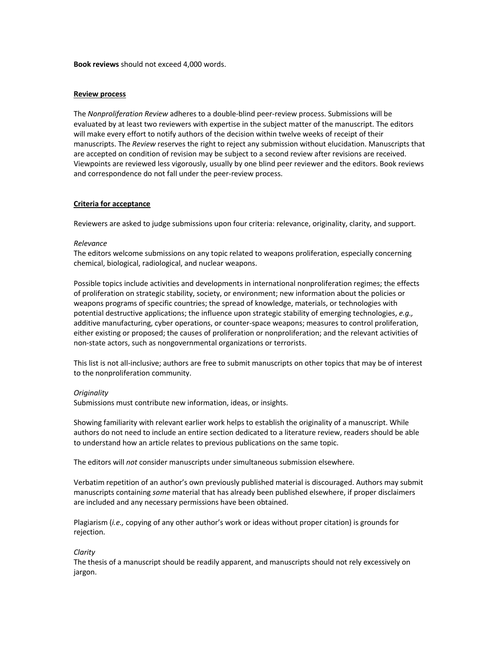**Book reviews** should not exceed 4,000 words.

## **Review process**

The *Nonproliferation Review* adheres to a double-blind peer-review process. Submissions will be evaluated by at least two reviewers with expertise in the subject matter of the manuscript. The editors will make every effort to notify authors of the decision within twelve weeks of receipt of their manuscripts. The *Review* reserves the right to reject any submission without elucidation. Manuscripts that are accepted on condition of revision may be subject to a second review after revisions are received. Viewpoints are reviewed less vigorously, usually by one blind peer reviewer and the editors. Book reviews and correspondence do not fall under the peer-review process.

## **Criteria for acceptance**

Reviewers are asked to judge submissions upon four criteria: relevance, originality, clarity, and support.

### *Relevance*

The editors welcome submissions on any topic related to weapons proliferation, especially concerning chemical, biological, radiological, and nuclear weapons.

Possible topics include activities and developments in international nonproliferation regimes; the effects of proliferation on strategic stability, society, or environment; new information about the policies or weapons programs of specific countries; the spread of knowledge, materials, or technologies with potential destructive applications; the influence upon strategic stability of emerging technologies, *e.g.,* additive manufacturing, cyber operations, or counter-space weapons; measures to control proliferation, either existing or proposed; the causes of proliferation or nonproliferation; and the relevant activities of non-state actors, such as nongovernmental organizations or terrorists.

This list is not all-inclusive; authors are free to submit manuscripts on other topics that may be of interest to the nonproliferation community.

## *Originality*

Submissions must contribute new information, ideas, or insights.

Showing familiarity with relevant earlier work helps to establish the originality of a manuscript. While authors do not need to include an entire section dedicated to a literature review, readers should be able to understand how an article relates to previous publications on the same topic.

The editors will *not* consider manuscripts under simultaneous submission elsewhere.

Verbatim repetition of an author's own previously published material is discouraged. Authors may submit manuscripts containing *some* material that has already been published elsewhere, if proper disclaimers are included and any necessary permissions have been obtained.

Plagiarism (*i.e.,* copying of any other author's work or ideas without proper citation) is grounds for rejection.

## *Clarity*

The thesis of a manuscript should be readily apparent, and manuscripts should not rely excessively on jargon.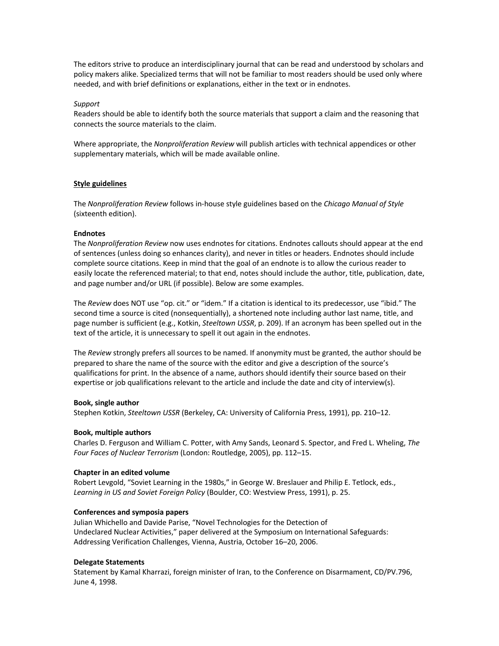The editors strive to produce an interdisciplinary journal that can be read and understood by scholars and policy makers alike. Specialized terms that will not be familiar to most readers should be used only where needed, and with brief definitions or explanations, either in the text or in endnotes.

## *Support*

Readers should be able to identify both the source materials that support a claim and the reasoning that connects the source materials to the claim.

Where appropriate, the *Nonproliferation Review* will publish articles with technical appendices or other supplementary materials, which will be made available online.

## **Style guidelines**

The *Nonproliferation Review* follows in-house style guidelines based on the *Chicago Manual of Style* (sixteenth edition).

## **Endnotes**

The *Nonproliferation Review* now uses endnotes for citations. Endnotes callouts should appear at the end of sentences (unless doing so enhances clarity), and never in titles or headers. Endnotes should include complete source citations. Keep in mind that the goal of an endnote is to allow the curious reader to easily locate the referenced material; to that end, notes should include the author, title, publication, date, and page number and/or URL (if possible). Below are some examples.

The *Review* does NOT use "op. cit." or "idem." If a citation is identical to its predecessor, use "ibid." The second time a source is cited (nonsequentially), a shortened note including author last name, title, and page number is sufficient (e.g., Kotkin, *Steeltown USSR*, p. 209). If an acronym has been spelled out in the text of the article, it is unnecessary to spell it out again in the endnotes.

The *Review* strongly prefers all sources to be named. If anonymity must be granted, the author should be prepared to share the name of the source with the editor and give a description of the source's qualifications for print. In the absence of a name, authors should identify their source based on their expertise or job qualifications relevant to the article and include the date and city of interview(s).

#### **Book, single author**

Stephen Kotkin, *Steeltown USSR* (Berkeley, CA: University of California Press, 1991), pp. 210–12.

#### **Book, multiple authors**

Charles D. Ferguson and William C. Potter, with Amy Sands, Leonard S. Spector, and Fred L. Wheling, *The Four Faces of Nuclear Terrorism* (London: Routledge, 2005), pp. 112–15.

#### **Chapter in an edited volume**

Robert Levgold, "Soviet Learning in the 1980s," in George W. Breslauer and Philip E. Tetlock, eds., *Learning in US and Soviet Foreign Policy* (Boulder, CO: Westview Press, 1991), p. 25.

## **Conferences and symposia papers**

Julian Whichello and Davide Parise, "Novel Technologies for the Detection of Undeclared Nuclear Activities," paper delivered at the Symposium on International Safeguards: Addressing Verification Challenges, Vienna, Austria, October 16–20, 2006.

## **Delegate Statements**

Statement by Kamal Kharrazi, foreign minister of Iran, to the Conference on Disarmament, CD/PV.796, June 4, 1998.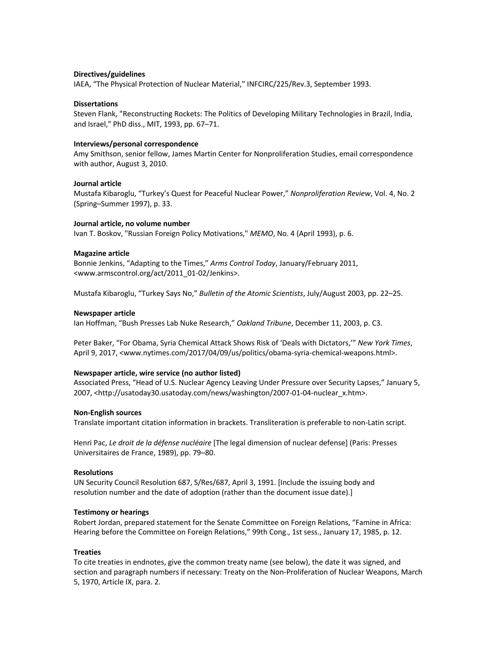## **Directives/guidelines**

IAEA, "The Physical Protection of Nuclear Material," INFCIRC/225/Rev.3, September 1993.

### **Dissertations**

Steven Flank, "Reconstructing Rockets: The Politics of Developing Military Technologies in Brazil, India, and Israel," PhD diss., MIT, 1993, pp. 67–71.

## **Interviews/personal correspondence**

Amy Smithson, senior fellow, James Martin Center for Nonproliferation Studies, email correspondence with author, August 3, 2010.

# **Journal article**

Mustafa Kibaroglu, "Turkey's Quest for Peaceful Nuclear Power," *Nonproliferation Review*, Vol. 4, No. 2 (Spring–Summer 1997), p. 33.

#### **Journal article, no volume number**

Ivan T. Boskov, "Russian Foreign Policy Motivations," *MEMO*, No. 4 (April 1993), p. 6.

### **Magazine article**

Bonnie Jenkins, "Adapting to the Times," *Arms Control Today*, January/February 2011, <www.armscontrol.org/act/2011\_01-02/Jenkins>.

Mustafa Kibaroglu, "Turkey Says No," *Bulletin of the Atomic Scientists*, July/August 2003, pp. 22–25.

#### **Newspaper article**

Ian Hoffman, "Bush Presses Lab Nuke Research," *Oakland Tribune*, December 11, 2003, p. C3.

Peter Baker, "For Obama, Syria Chemical Attack Shows Risk of 'Deals with Dictators,'" *New York Times*, April 9, 2017, <www.nytimes.com/2017/04/09/us/politics/obama-syria-chemical-weapons.html>.

#### **Newspaper article, wire service (no author listed)**

Associated Press, "Head of U.S. Nuclear Agency Leaving Under Pressure over Security Lapses," January 5, 2007, <http://usatoday30.usatoday.com/news/washington/2007-01-04-nuclear\_x.htm>.

#### **Non-English sources**

Translate important citation information in brackets. Transliteration is preferable to non-Latin script.

Henri Pac, *Le droit de la défense nucléaire* [The legal dimension of nuclear defense] (Paris: Presses Universitaires de France, 1989), pp. 79–80.

#### **Resolutions**

UN Security Council Resolution 687, S/Res/687, April 3, 1991. [Include the issuing body and resolution number and the date of adoption (rather than the document issue date).]

#### **Testimony or hearings**

Robert Jordan, prepared statement for the Senate Committee on Foreign Relations, "Famine in Africa: Hearing before the Committee on Foreign Relations," 99th Cong., 1st sess., January 17, 1985, p. 12.

#### **Treaties**

To cite treaties in endnotes, give the common treaty name (see below), the date it was signed, and section and paragraph numbers if necessary: Treaty on the Non-Proliferation of Nuclear Weapons, March 5, 1970, Article IX, para. 2.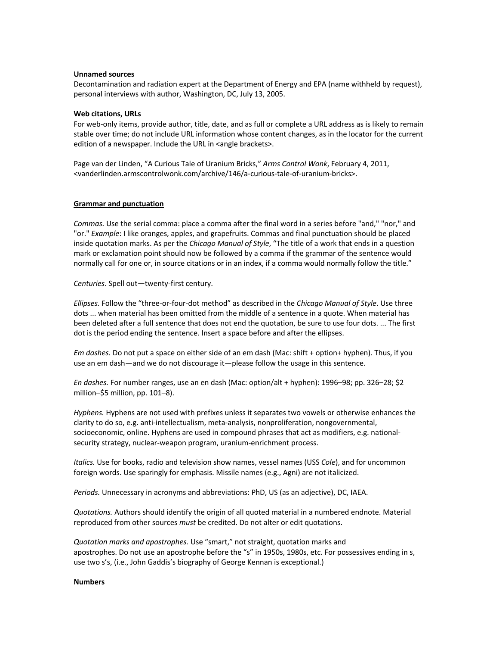## **Unnamed sources**

Decontamination and radiation expert at the Department of Energy and EPA (name withheld by request), personal interviews with author, Washington, DC, July 13, 2005.

## **Web citations, URLs**

For web-only items, provide author, title, date, and as full or complete a URL address as is likely to remain stable over time; do not include URL information whose content changes, as in the locator for the current edition of a newspaper. Include the URL in <angle brackets>.

Page van der Linden, "A Curious Tale of Uranium Bricks," *Arms Control Wonk*, February 4, 2011, <vanderlinden.armscontrolwonk.com/archive/146/a-curious-tale-of-uranium-bricks>.

### **Grammar and punctuation**

*Commas.* Use the serial comma: place a comma after the final word in a series before "and," "nor," and "or." *Example*: I like oranges, apples, and grapefruits. Commas and final punctuation should be placed inside quotation marks. As per the *Chicago Manual of Style*, "The title of a work that ends in a question mark or exclamation point should now be followed by a comma if the grammar of the sentence would normally call for one or, in source citations or in an index, if a comma would normally follow the title."

*Centuries*. Spell out—twenty-first century.

*Ellipses.* Follow the "three-or-four-dot method" as described in the *Chicago Manual of Style*. Use three dots ... when material has been omitted from the middle of a sentence in a quote. When material has been deleted after a full sentence that does not end the quotation, be sure to use four dots. ... The first dot is the period ending the sentence. Insert a space before and after the ellipses.

*Em dashes.* Do not put a space on either side of an em dash (Mac: shift + option+ hyphen). Thus, if you use an em dash—and we do not discourage it—please follow the usage in this sentence.

*En dashes.* For number ranges, use an en dash (Mac: option/alt + hyphen): 1996–98; pp. 326–28; \$2 million–\$5 million, pp. 101–8).

*Hyphens.* Hyphens are not used with prefixes unless it separates two vowels or otherwise enhances the clarity to do so, e.g. anti-intellectualism, meta-analysis, nonproliferation, nongovernmental, socioeconomic, online. Hyphens are used in compound phrases that act as modifiers, e.g. nationalsecurity strategy, nuclear-weapon program, uranium-enrichment process.

*Italics.* Use for books, radio and television show names, vessel names (USS *Cole*), and for uncommon foreign words. Use sparingly for emphasis. Missile names (e.g., Agni) are not italicized.

*Periods.* Unnecessary in acronyms and abbreviations: PhD, US (as an adjective), DC, IAEA.

*Quotations.* Authors should identify the origin of all quoted material in a numbered endnote. Material reproduced from other sources *must* be credited. Do not alter or edit quotations.

*Quotation marks and apostrophes.* Use "smart," not straight, quotation marks and apostrophes. Do not use an apostrophe before the "s" in 1950s, 1980s, etc. For possessives ending in s, use two s's, (i.e., John Gaddis's biography of George Kennan is exceptional.)

## **Numbers**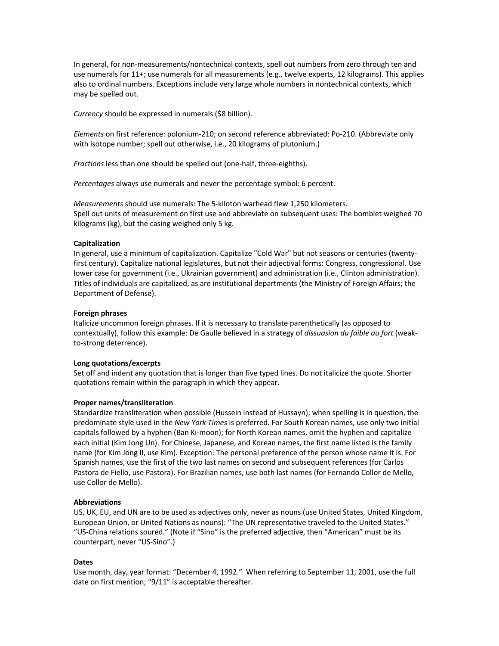In general, for non-measurements/nontechnical contexts, spell out numbers from zero through ten and use numerals for 11+; use numerals for all measurements (e.g., twelve experts, 12 kilograms). This applies also to ordinal numbers. Exceptions include very large whole numbers in nontechnical contexts, which may be spelled out.

*Currency* should be expressed in numerals (\$8 billion).

*Elements* on first reference: polonium-210; on second reference abbreviated: Po-210. (Abbreviate only with isotope number; spell out otherwise, i.e., 20 kilograms of plutonium.)

*Fractions* less than one should be spelled out (one-half, three-eighths).

*Percentages* always use numerals and never the percentage symbol: 6 percent.

*Measurements* should use numerals: The 5-kiloton warhead flew 1,250 kilometers. Spell out units of measurement on first use and abbreviate on subsequent uses: The bomblet weighed 70 kilograms (kg), but the casing weighed only 5 kg.

## **Capitalization**

In general, use a minimum of capitalization. Capitalize "Cold War" but not seasons or centuries (twentyfirst century). Capitalize national legislatures, but not their adjectival forms: Congress, congressional. Use lower case for government (i.e., Ukrainian government) and administration (i.e., Clinton administration). Titles of individuals are capitalized, as are institutional departments (the Ministry of Foreign Affairs; the Department of Defense).

## **Foreign phrases**

Italicize uncommon foreign phrases. If it is necessary to translate parenthetically (as opposed to contextually), follow this example: De Gaulle believed in a strategy of *dissuasion du faible au fort* (weakto-strong deterrence).

## **Long quotations/excerpts**

Set off and indent any quotation that is longer than five typed lines. Do not italicize the quote. Shorter quotations remain within the paragraph in which they appear.

## **Proper names/transliteration**

Standardize transliteration when possible (Hussein instead of Hussayn); when spelling is in question, the predominate style used in the *New York Times* is preferred. For South Korean names, use only two initial capitals followed by a hyphen (Ban Ki-moon); for North Korean names, omit the hyphen and capitalize each initial (Kim Jong Un). For Chinese, Japanese, and Korean names, the first name listed is the family name (for Kim Jong Il, use Kim). Exception: The personal preference of the person whose name it is. For Spanish names, use the first of the two last names on second and subsequent references (for Carlos Pastora de Fiello, use Pastora). For Brazilian names, use both last names (for Fernando Collor de Mello, use Collor de Mello).

## **Abbreviations**

US, UK, EU, and UN are to be used as adjectives only, never as nouns (use United States, United Kingdom, European Union, or United Nations as nouns): "The UN representative traveled to the United States." "US-China relations soured." (Note if "Sino" is the preferred adjective, then "American" must be its counterpart, never "US-Sino".)

## **Dates**

Use month, day, year format: "December 4, 1992." When referring to September 11, 2001, use the full date on first mention; "9/11" is acceptable thereafter.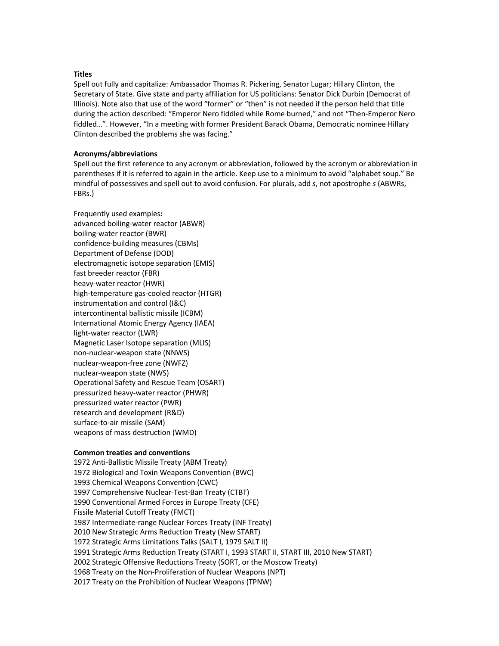## **Titles**

Spell out fully and capitalize: Ambassador Thomas R. Pickering, Senator Lugar; Hillary Clinton, the Secretary of State. Give state and party affiliation for US politicians: Senator Dick Durbin (Democrat of Illinois). Note also that use of the word "former" or "then" is not needed if the person held that title during the action described: "Emperor Nero fiddled while Rome burned," and not "Then-Emperor Nero fiddled…". However, "In a meeting with former President Barack Obama, Democratic nominee Hillary Clinton described the problems she was facing."

### **Acronyms/abbreviations**

Spell out the first reference to any acronym or abbreviation, followed by the acronym or abbreviation in parentheses if it is referred to again in the article. Keep use to a minimum to avoid "alphabet soup." Be mindful of possessives and spell out to avoid confusion. For plurals, add *s*, not apostrophe *s* (ABWRs, FBRs.)

Frequently used examples*:* advanced boiling-water reactor (ABWR) boiling-water reactor (BWR) confidence-building measures (CBMs) Department of Defense (DOD) electromagnetic isotope separation (EMIS) fast breeder reactor (FBR) heavy-water reactor (HWR) high-temperature gas-cooled reactor (HTGR) instrumentation and control (I&C) intercontinental ballistic missile (ICBM) International Atomic Energy Agency (IAEA) light-water reactor (LWR) Magnetic Laser Isotope separation (MLIS) non-nuclear-weapon state (NNWS) nuclear-weapon-free zone (NWFZ) nuclear-weapon state (NWS) Operational Safety and Rescue Team (OSART) pressurized heavy-water reactor (PHWR) pressurized water reactor (PWR) research and development (R&D) surface-to-air missile (SAM) weapons of mass destruction (WMD)

## **Common treaties and conventions**

1972 Anti-Ballistic Missile Treaty (ABM Treaty) 1972 Biological and Toxin Weapons Convention (BWC) 1993 Chemical Weapons Convention (CWC) 1997 Comprehensive Nuclear-Test-Ban Treaty (CTBT) 1990 Conventional Armed Forces in Europe Treaty (CFE) Fissile Material Cutoff Treaty (FMCT) 1987 Intermediate-range Nuclear Forces Treaty (INF Treaty) 2010 New Strategic Arms Reduction Treaty (New START) 1972 Strategic Arms Limitations Talks (SALT I, 1979 SALT II) 1991 Strategic Arms Reduction Treaty (START I, 1993 START II, START III, 2010 New START) 2002 Strategic Offensive Reductions Treaty (SORT, or the Moscow Treaty) 1968 Treaty on the Non-Proliferation of Nuclear Weapons (NPT) 2017 Treaty on the Prohibition of Nuclear Weapons (TPNW)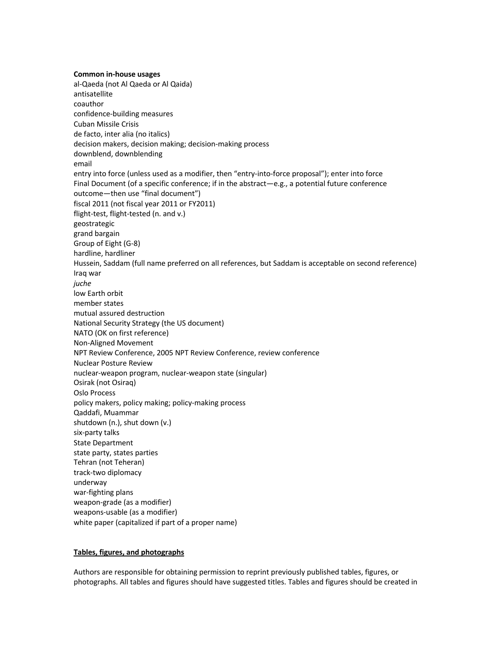**Common in-house usages** al-Qaeda (not Al Qaeda or Al Qaida) antisatellite coauthor confidence-building measures Cuban Missile Crisis de facto, inter alia (no italics) decision makers, decision making; decision-making process downblend, downblending email entry into force (unless used as a modifier, then "entry-into-force proposal"); enter into force Final Document (of a specific conference; if in the abstract—e.g., a potential future conference outcome—then use "final document") fiscal 2011 (not fiscal year 2011 or FY2011) flight-test, flight-tested (n. and v.) geostrategic grand bargain Group of Eight (G-8) hardline, hardliner Hussein, Saddam (full name preferred on all references, but Saddam is acceptable on second reference) Iraq war *juche* low Earth orbit member states mutual assured destruction National Security Strategy (the US document) NATO (OK on first reference) Non-Aligned Movement NPT Review Conference, 2005 NPT Review Conference, review conference Nuclear Posture Review nuclear-weapon program, nuclear-weapon state (singular) Osirak (not Osiraq) Oslo Process policy makers, policy making; policy-making process Qaddafi, Muammar shutdown (n.), shut down (v.) six-party talks State Department state party, states parties Tehran (not Teheran) track-two diplomacy underway war-fighting plans weapon-grade (as a modifier) weapons-usable (as a modifier) white paper (capitalized if part of a proper name)

## **Tables, figures, and photographs**

Authors are responsible for obtaining permission to reprint previously published tables, figures, or photographs. All tables and figures should have suggested titles. Tables and figures should be created in